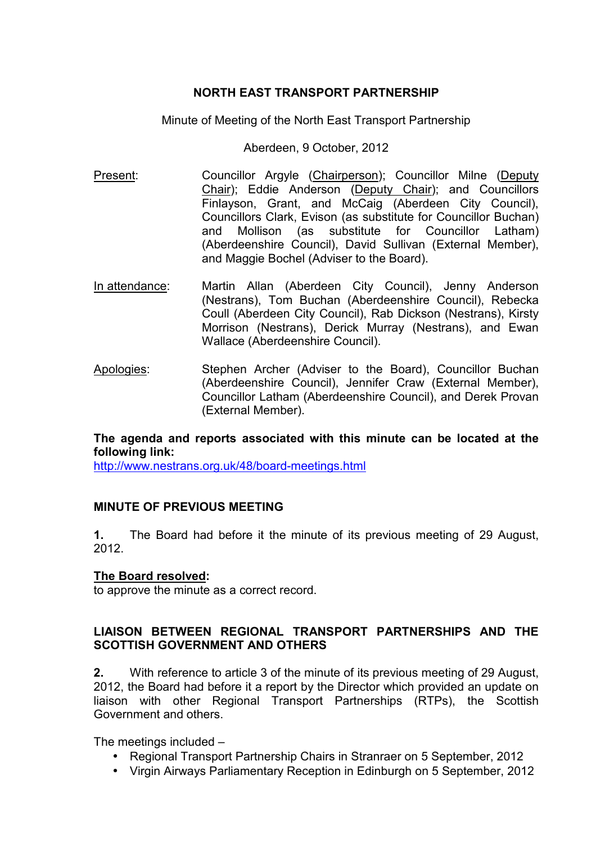## **NORTH EAST TRANSPORT PARTNERSHIP**

Minute of Meeting of the North East Transport Partnership

Aberdeen, 9 October, 2012

- Present: Councillor Argyle (Chairperson); Councillor Milne (Deputy Chair); Eddie Anderson (Deputy Chair); and Councillors Finlayson, Grant, and McCaig (Aberdeen City Council), Councillors Clark, Evison (as substitute for Councillor Buchan) and Mollison (as substitute for Councillor Latham) (Aberdeenshire Council), David Sullivan (External Member), and Maggie Bochel (Adviser to the Board).
- In attendance: Martin Allan (Aberdeen City Council), Jenny Anderson (Nestrans), Tom Buchan (Aberdeenshire Council), Rebecka Coull (Aberdeen City Council), Rab Dickson (Nestrans), Kirsty Morrison (Nestrans), Derick Murray (Nestrans), and Ewan Wallace (Aberdeenshire Council).
- Apologies: Stephen Archer (Adviser to the Board), Councillor Buchan (Aberdeenshire Council), Jennifer Craw (External Member), Councillor Latham (Aberdeenshire Council), and Derek Provan (External Member).

### **The agenda and reports associated with this minute can be located at the following link:**

http://www.nestrans.org.uk/48/board-meetings.html

# **MINUTE OF PREVIOUS MEETING**

**1.** The Board had before it the minute of its previous meeting of 29 August, 2012.

### **The Board resolved:**

to approve the minute as a correct record.

### **LIAISON BETWEEN REGIONAL TRANSPORT PARTNERSHIPS AND THE SCOTTISH GOVERNMENT AND OTHERS**

**2.** With reference to article 3 of the minute of its previous meeting of 29 August, 2012, the Board had before it a report by the Director which provided an update on liaison with other Regional Transport Partnerships (RTPs), the Scottish Government and others.

The meetings included –

- Regional Transport Partnership Chairs in Stranraer on 5 September, 2012
- Virgin Airways Parliamentary Reception in Edinburgh on 5 September, 2012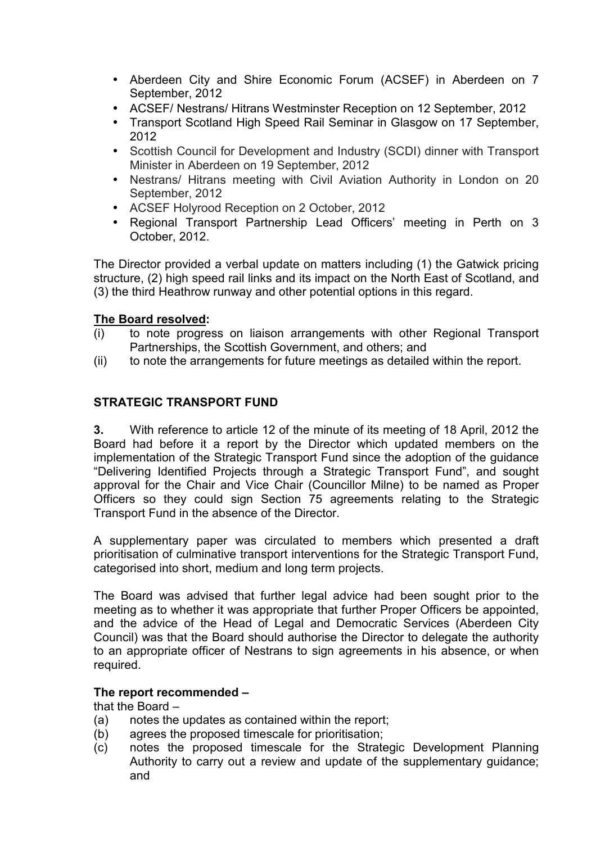- Aberdeen City and Shire Economic Forum (ACSEF) in Aberdeen on 7 September, 2012
- ACSEF/ Nestrans/ Hitrans Westminster Reception on 12 September, 2012
- Transport Scotland High Speed Rail Seminar in Glasgow on 17 September, 2012
- Scottish Council for Development and Industry (SCDI) dinner with Transport Minister in Aberdeen on 19 September, 2012
- Nestrans/ Hitrans meeting with Civil Aviation Authority in London on 20 September, 2012
- ACSEF Holyrood Reception on 2 October, 2012
- Regional Transport Partnership Lead Officers' meeting in Perth on 3 October, 2012.

The Director provided a verbal update on matters including (1) the Gatwick pricing structure, (2) high speed rail links and its impact on the North East of Scotland, and (3) the third Heathrow runway and other potential options in this regard.

### **The Board resolved:**

- (i) to note progress on liaison arrangements with other Regional Transport Partnerships, the Scottish Government, and others; and
- (ii) to note the arrangements for future meetings as detailed within the report.

# **STRATEGIC TRANSPORT FUND**

**3.** With reference to article 12 of the minute of its meeting of 18 April, 2012 the Board had before it a report by the Director which updated members on the implementation of the Strategic Transport Fund since the adoption of the guidance "Delivering Identified Projects through a Strategic Transport Fund", and sought approval for the Chair and Vice Chair (Councillor Milne) to be named as Proper Officers so they could sign Section 75 agreements relating to the Strategic Transport Fund in the absence of the Director.

A supplementary paper was circulated to members which presented a draft prioritisation of culminative transport interventions for the Strategic Transport Fund, categorised into short, medium and long term projects.

The Board was advised that further legal advice had been sought prior to the meeting as to whether it was appropriate that further Proper Officers be appointed, and the advice of the Head of Legal and Democratic Services (Aberdeen City Council) was that the Board should authorise the Director to delegate the authority to an appropriate officer of Nestrans to sign agreements in his absence, or when required.

### **The report recommended –**

that the Board –

- (a) notes the updates as contained within the report;
- (b) agrees the proposed timescale for prioritisation;
- (c) notes the proposed timescale for the Strategic Development Planning Authority to carry out a review and update of the supplementary guidance; and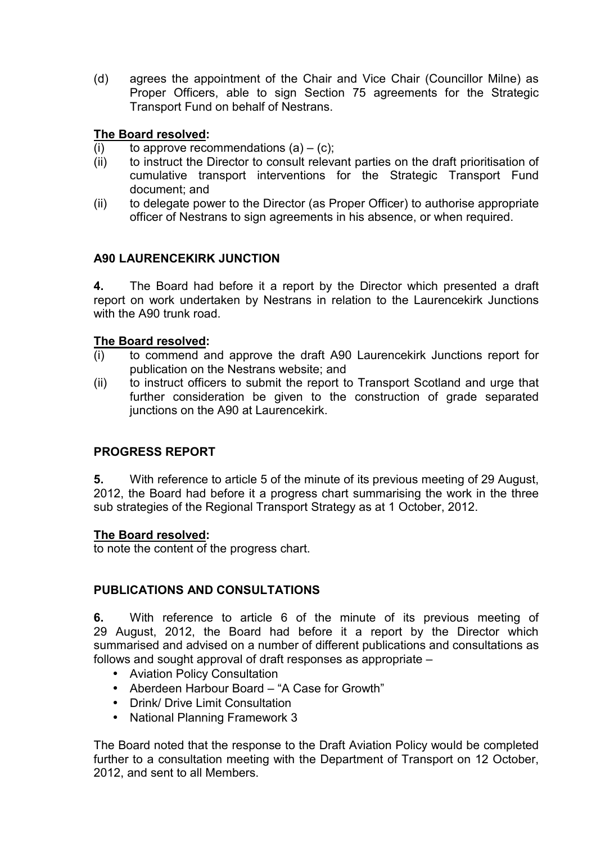(d) agrees the appointment of the Chair and Vice Chair (Councillor Milne) as Proper Officers, able to sign Section 75 agreements for the Strategic Transport Fund on behalf of Nestrans.

# **The Board resolved:**

- (i) to approve recommendations  $(a) (c)$ ;
- (ii) to instruct the Director to consult relevant parties on the draft prioritisation of cumulative transport interventions for the Strategic Transport Fund document; and
- (ii) to delegate power to the Director (as Proper Officer) to authorise appropriate officer of Nestrans to sign agreements in his absence, or when required.

# **A90 LAURENCEKIRK JUNCTION**

**4.** The Board had before it a report by the Director which presented a draft report on work undertaken by Nestrans in relation to the Laurencekirk Junctions with the A90 trunk road.

### **The Board resolved:**

- (i) to commend and approve the draft A90 Laurencekirk Junctions report for publication on the Nestrans website; and
- (ii) to instruct officers to submit the report to Transport Scotland and urge that further consideration be given to the construction of grade separated junctions on the A90 at Laurencekirk.

# **PROGRESS REPORT**

**5.** With reference to article 5 of the minute of its previous meeting of 29 August, 2012, the Board had before it a progress chart summarising the work in the three sub strategies of the Regional Transport Strategy as at 1 October, 2012.

### **The Board resolved:**

to note the content of the progress chart.

# **PUBLICATIONS AND CONSULTATIONS**

**6.** With reference to article 6 of the minute of its previous meeting of 29 August, 2012, the Board had before it a report by the Director which summarised and advised on a number of different publications and consultations as follows and sought approval of draft responses as appropriate –

- Aviation Policy Consultation
- Aberdeen Harbour Board "A Case for Growth"
- Drink/ Drive Limit Consultation
- National Planning Framework 3

The Board noted that the response to the Draft Aviation Policy would be completed further to a consultation meeting with the Department of Transport on 12 October, 2012, and sent to all Members.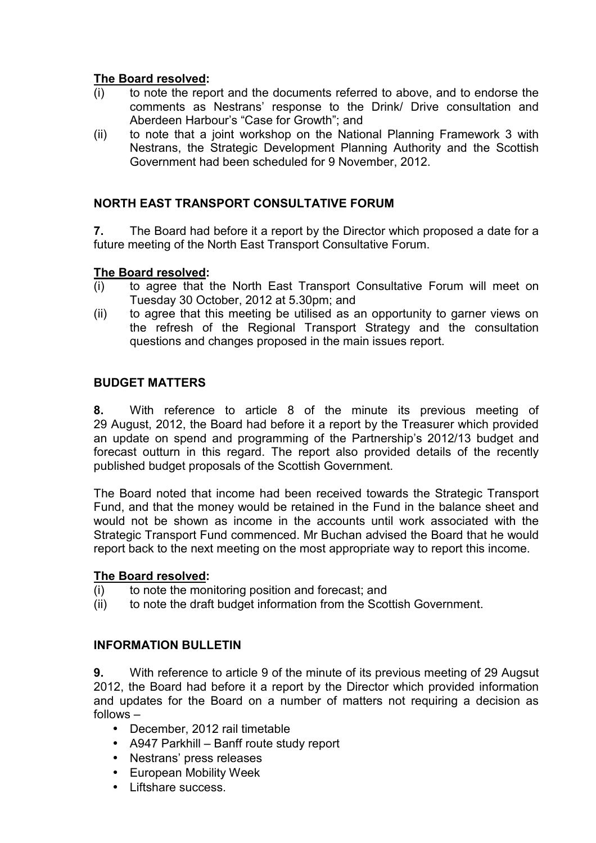## **The Board resolved:**

- (i) to note the report and the documents referred to above, and to endorse the comments as Nestrans' response to the Drink/ Drive consultation and Aberdeen Harbour's "Case for Growth"; and
- (ii) to note that a joint workshop on the National Planning Framework 3 with Nestrans, the Strategic Development Planning Authority and the Scottish Government had been scheduled for 9 November, 2012.

## **NORTH EAST TRANSPORT CONSULTATIVE FORUM**

**7.** The Board had before it a report by the Director which proposed a date for a future meeting of the North East Transport Consultative Forum.

### **The Board resolved:**

- (i) to agree that the North East Transport Consultative Forum will meet on Tuesday 30 October, 2012 at 5.30pm; and
- (ii) to agree that this meeting be utilised as an opportunity to garner views on the refresh of the Regional Transport Strategy and the consultation questions and changes proposed in the main issues report.

### **BUDGET MATTERS**

**8.** With reference to article 8 of the minute its previous meeting of 29 August, 2012, the Board had before it a report by the Treasurer which provided an update on spend and programming of the Partnership's 2012/13 budget and forecast outturn in this regard. The report also provided details of the recently published budget proposals of the Scottish Government.

The Board noted that income had been received towards the Strategic Transport Fund, and that the money would be retained in the Fund in the balance sheet and would not be shown as income in the accounts until work associated with the Strategic Transport Fund commenced. Mr Buchan advised the Board that he would report back to the next meeting on the most appropriate way to report this income.

### **The Board resolved:**

- (i) to note the monitoring position and forecast; and
- (ii) to note the draft budget information from the Scottish Government.

### **INFORMATION BULLETIN**

**9.** With reference to article 9 of the minute of its previous meeting of 29 Augsut 2012, the Board had before it a report by the Director which provided information and updates for the Board on a number of matters not requiring a decision as follows –

- December, 2012 rail timetable
- A947 Parkhill Banff route study report
- Nestrans' press releases
- European Mobility Week
- Liftshare success.